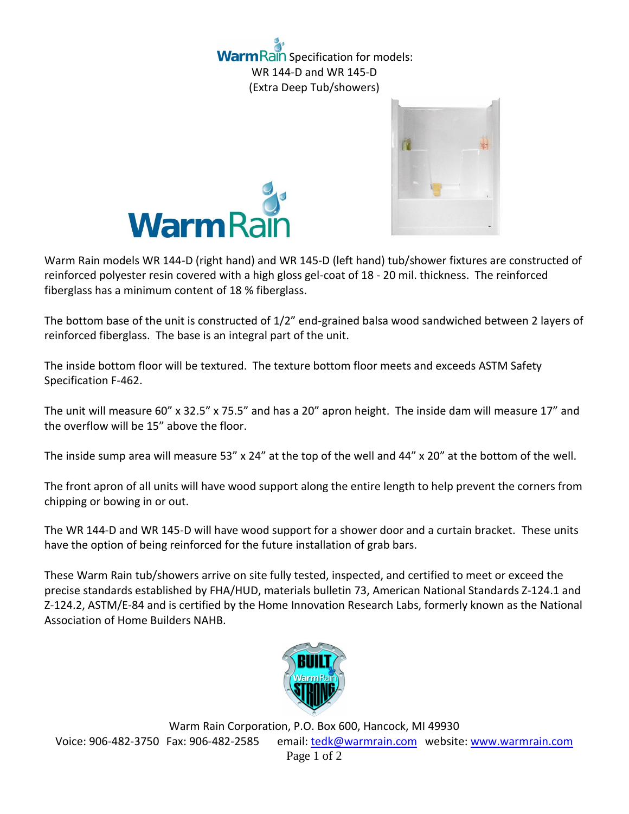n Rain Specification for models: WR 144-D and WR 145-D (Extra Deep Tub/showers)





Warm Rain models WR 144-D (right hand) and WR 145-D (left hand) tub/shower fixtures are constructed of reinforced polyester resin covered with a high gloss gel-coat of 18 - 20 mil. thickness. The reinforced fiberglass has a minimum content of 18 % fiberglass.

The bottom base of the unit is constructed of 1/2" end-grained balsa wood sandwiched between 2 layers of reinforced fiberglass. The base is an integral part of the unit.

The inside bottom floor will be textured. The texture bottom floor meets and exceeds ASTM Safety Specification F-462.

The unit will measure 60" x 32.5" x 75.5" and has a 20" apron height. The inside dam will measure 17" and the overflow will be 15" above the floor.

The inside sump area will measure 53" x 24" at the top of the well and 44" x 20" at the bottom of the well.

The front apron of all units will have wood support along the entire length to help prevent the corners from chipping or bowing in or out.

The WR 144-D and WR 145-D will have wood support for a shower door and a curtain bracket. These units have the option of being reinforced for the future installation of grab bars.

These Warm Rain tub/showers arrive on site fully tested, inspected, and certified to meet or exceed the precise standards established by FHA/HUD, materials bulletin 73, American National Standards Z-124.1 and Z-124.2, ASTM/E-84 and is certified by the Home Innovation Research Labs, formerly known as the National Association of Home Builders NAHB.



Warm Rain Corporation, P.O. Box 600, Hancock, MI 49930 Voice: 906-482-3750 Fax: 906-482-2585 email[: tedk@warmrain.com](mailto:tedk@warmrain.com) website: [www.warmrain.com](http://www.warmrain.com/) Page 1 of 2